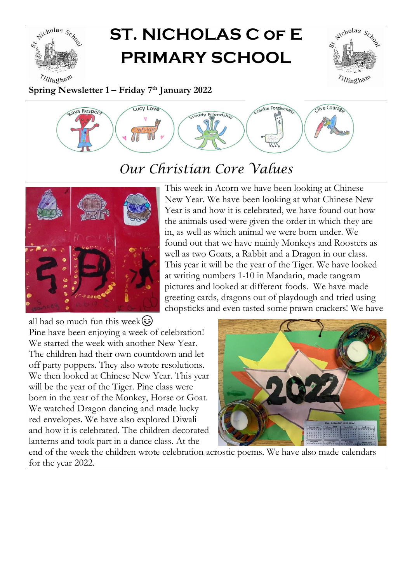

## **ST. NICHOLAS C of E PRIMARY SCHOOL**



**Spring Newsletter 1 – Friday 7 th January 2022**



## *Our Christian Core Values*



This week in Acorn we have been looking at Chinese New Year. We have been looking at what Chinese New Year is and how it is celebrated, we have found out how the animals used were given the order in which they are in, as well as which animal we were born under. We found out that we have mainly Monkeys and Roosters as well as two Goats, a Rabbit and a Dragon in our class. This year it will be the year of the Tiger. We have looked at writing numbers 1-10 in Mandarin, made tangram pictures and looked at different foods. We have made greeting cards, dragons out of playdough and tried using chopsticks and even tasted some prawn crackers! We have

all had so much fun this week $\circled{s}$ Pine have been enjoying a week of celebration! We started the week with another New Year. The children had their own countdown and let off party poppers. They also wrote resolutions. We then looked at Chinese New Year. This year will be the year of the Tiger. Pine class were born in the year of the Monkey, Horse or Goat. We watched Dragon dancing and made lucky red envelopes. We have also explored Diwali and how it is celebrated. The children decorated lanterns and took part in a dance class. At the



end of the week the children wrote celebration acrostic poems. We have also made calendars for the year 2022.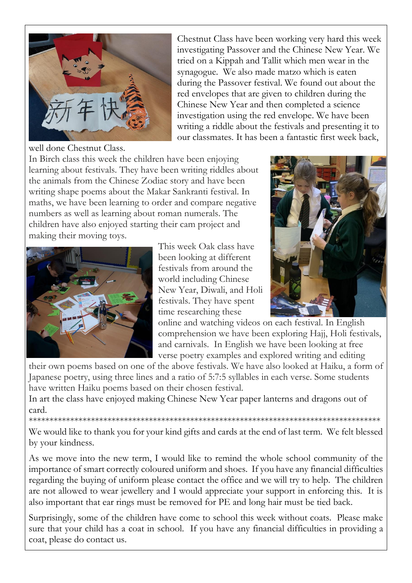

Chestnut Class have been working very hard this week investigating Passover and the Chinese New Year. We tried on a Kippah and Tallit which men wear in the synagogue. We also made matzo which is eaten during the Passover festival. We found out about the red envelopes that are given to children during the Chinese New Year and then completed a science investigation using the red envelope. We have been writing a riddle about the festivals and presenting it to our classmates. It has been a fantastic first week back,

well done Chestnut Class.

In Birch class this week the children have been enjoying learning about festivals. They have been writing riddles about the animals from the Chinese Zodiac story and have been writing shape poems about the Makar Sankranti festival. In maths, we have been learning to order and compare negative numbers as well as learning about roman numerals. The children have also enjoyed starting their cam project and making their moving toys.



This week Oak class have been looking at different festivals from around the world including Chinese New Year, Diwali, and Holi festivals. They have spent time researching these



online and watching videos on each festival. In English comprehension we have been exploring Hajj, Holi festivals, and carnivals. In English we have been looking at free verse poetry examples and explored writing and editing

their own poems based on one of the above festivals. We have also looked at Haiku, a form of Japanese poetry, using three lines and a ratio of 5:7:5 syllables in each verse. Some students have written Haiku poems based on their chosen festival.

In art the class have enjoyed making Chinese New Year paper lanterns and dragons out of card.

We would like to thank you for your kind gifts and cards at the end of last term. We felt blessed by your kindness.

\*\*\*\*\*\*\*\*\*\*\*\*\*\*\*\*\*\*\*\*\*\*\*\*\*\*\*\*\*\*\*\*\*\*\*\*\*\*\*\*\*\*\*\*\*\*\*\*\*\*\*\*\*\*\*\*\*\*\*\*\*\*\*\*\*\*\*\*\*\*\*\*\*\*\*\*\*\*\*\*\*\*\*\*\*

As we move into the new term, I would like to remind the whole school community of the importance of smart correctly coloured uniform and shoes. If you have any financial difficulties regarding the buying of uniform please contact the office and we will try to help. The children are not allowed to wear jewellery and I would appreciate your support in enforcing this. It is also important that ear rings must be removed for PE and long hair must be tied back.

Surprisingly, some of the children have come to school this week without coats. Please make sure that your child has a coat in school. If you have any financial difficulties in providing a coat, please do contact us.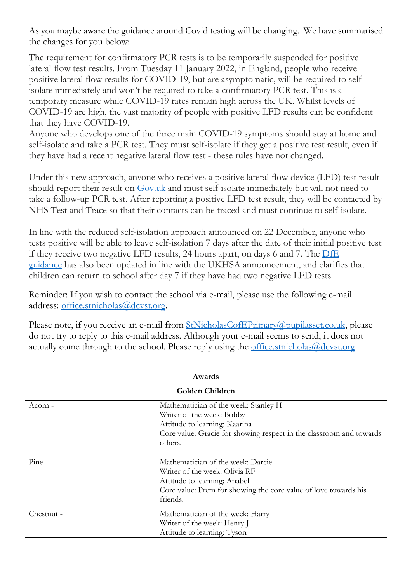As you maybe aware the guidance around Covid testing will be changing. We have summarised the changes for you below:

The requirement for confirmatory PCR tests is to be temporarily suspended for positive lateral flow test results. From Tuesday 11 January 2022, in England, people who receive positive lateral flow results for COVID-19, but are asymptomatic, will be required to selfisolate immediately and won't be required to take a confirmatory PCR test. This is a temporary measure while COVID-19 rates remain high across the UK. Whilst levels of COVID-19 are high, the vast majority of people with positive LFD results can be confident that they have COVID-19.

Anyone who develops one of the three main COVID-19 symptoms should stay at home and self-isolate and take a PCR test. They must self-isolate if they get a positive test result, even if they have had a recent negative lateral flow test - these rules have not changed.

Under this new approach, anyone who receives a positive lateral flow device (LFD) test result should report their result on [Gov.uk](https://gbr01.safelinks.protection.outlook.com/?url=https%3A%2F%2Fwww.gov.uk%2Freport-covid19-result&data=04%7C01%7Cheadteacher.rivenhall%40dcvst.org%7C8981ed018c724e1ae94f08d9d1245f18%7C282c78034b8f4fbda3841682df47e3ad%7C1%7C1%7C637770776413501401%7CUnknown%7CTWFpbGZsb3d8eyJWIjoiMC4wLjAwMDAiLCJQIjoiV2luMzIiLCJBTiI6Ik1haWwiLCJXVCI6Mn0%3D%7C3000&sdata=8%2BQIu0m2Fp2KgUEDFb%2BYcvRu2qflZjo38LjRfq4Jirs%3D&reserved=0) and must self-isolate immediately but will not need to take a follow-up PCR test. After reporting a positive LFD test result, they will be contacted by NHS Test and Trace so that their contacts can be traced and must continue to self-isolate.

In line with the reduced self-isolation approach announced on 22 December, anyone who tests positive will be able to leave self-isolation 7 days after the date of their initial positive test if they receive two negative LFD results, 24 hours apart, on days 6 and 7. The [DfE](https://gbr01.safelinks.protection.outlook.com/?url=https%3A%2F%2Fassets.publishing.service.gov.uk%2Fgovernment%2Fuploads%2Fsystem%2Fuploads%2Fattachment_data%2Ffile%2F1044890%2FSchools_guidance_January_2022_.pdf&data=04%7C01%7Cheadteacher.rivenhall%40dcvst.org%7C8981ed018c724e1ae94f08d9d1245f18%7C282c78034b8f4fbda3841682df47e3ad%7C1%7C1%7C637770776413501401%7CUnknown%7CTWFpbGZsb3d8eyJWIjoiMC4wLjAwMDAiLCJQIjoiV2luMzIiLCJBTiI6Ik1haWwiLCJXVCI6Mn0%3D%7C3000&sdata=JcAi5KQoqGU6VyXtf8qTPWESKzbL6MOimLdSguJfifM%3D&reserved=0) [guidance](https://gbr01.safelinks.protection.outlook.com/?url=https%3A%2F%2Fassets.publishing.service.gov.uk%2Fgovernment%2Fuploads%2Fsystem%2Fuploads%2Fattachment_data%2Ffile%2F1044890%2FSchools_guidance_January_2022_.pdf&data=04%7C01%7Cheadteacher.rivenhall%40dcvst.org%7C8981ed018c724e1ae94f08d9d1245f18%7C282c78034b8f4fbda3841682df47e3ad%7C1%7C1%7C637770776413501401%7CUnknown%7CTWFpbGZsb3d8eyJWIjoiMC4wLjAwMDAiLCJQIjoiV2luMzIiLCJBTiI6Ik1haWwiLCJXVCI6Mn0%3D%7C3000&sdata=JcAi5KQoqGU6VyXtf8qTPWESKzbL6MOimLdSguJfifM%3D&reserved=0) has also been updated in line with the UKHSA announcement, and clarifies that children can return to school after day 7 if they have had two negative LFD tests.

Reminder: If you wish to contact the school via e-mail, please use the following e-mail address: [office.stnicholas@dcvst.org.](mailto:office.stnicholas@dcvst.org)

Please note, if you receive an e-mail from [StNicholasCofEPrimary@pupilasset.co.uk,](mailto:StNicholasCofEPrimary@pupilasset.co.uk) please do not try to reply to this e-mail address. Although your e-mail seems to send, it does not actually come through to the school. Please reply using the [office.stnicholas@dcvst.org](mailto:office.stnicholas@dcvst.org)

| Awards          |                                                                     |  |
|-----------------|---------------------------------------------------------------------|--|
| Golden Children |                                                                     |  |
| Acorn -         | Mathematician of the week: Stanley H                                |  |
|                 | Writer of the week: Bobby                                           |  |
|                 | Attitude to learning: Kaarina                                       |  |
|                 | Core value: Gracie for showing respect in the classroom and towards |  |
|                 | others.                                                             |  |
|                 |                                                                     |  |
| $Pine -$        | Mathematician of the week: Darcie                                   |  |
|                 | Writer of the week: Olivia RF                                       |  |
|                 | Attitude to learning: Anabel                                        |  |
|                 | Core value: Prem for showing the core value of love towards his     |  |
|                 | friends.                                                            |  |
| Chestnut -      | Mathematician of the week: Harry                                    |  |
|                 | Writer of the week: Henry J                                         |  |
|                 | Attitude to learning: Tyson                                         |  |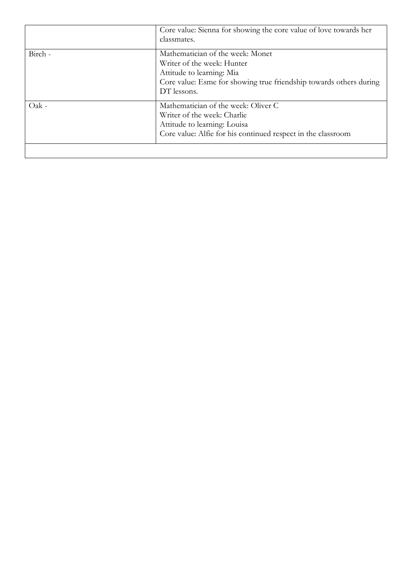|         | Core value: Sienna for showing the core value of love towards her<br>classmates.                                                                                                 |
|---------|----------------------------------------------------------------------------------------------------------------------------------------------------------------------------------|
| Birch - | Mathematician of the week: Monet<br>Writer of the week: Hunter<br>Attitude to learning: Mia<br>Core value: Esme for showing true friendship towards others during<br>DT lessons. |
| Oak -   | Mathematician of the week: Oliver C<br>Writer of the week: Charlie<br>Attitude to learning: Louisa<br>Core value: Alfie for his continued respect in the classroom               |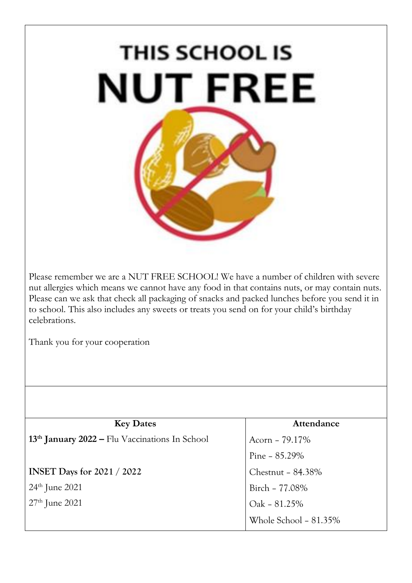## **THIS SCHOOL IS NUT FREE**

Please remember we are a NUT FREE SCHOOL! We have a number of children with severe nut allergies which means we cannot have any food in that contains nuts, or may contain nuts. Please can we ask that check all packaging of snacks and packed lunches before you send it in to school. This also includes any sweets or treats you send on for your child's birthday celebrations.

Thank you for your cooperation

| <b>Key Dates</b>                                           | Attendance            |  |
|------------------------------------------------------------|-----------------------|--|
| 13 <sup>th</sup> January 2022 – Flu Vaccinations In School | Acorn - 79.17%        |  |
|                                                            | Pine $-85.29\%$       |  |
| <b>INSET Days for 2021 / 2022</b>                          | Chestnut - 84.38%     |  |
| $24th$ June 2021                                           | Birch - 77.08%        |  |
| $27th$ June 2021                                           | Oak - 81.25%          |  |
|                                                            | Whole School - 81.35% |  |